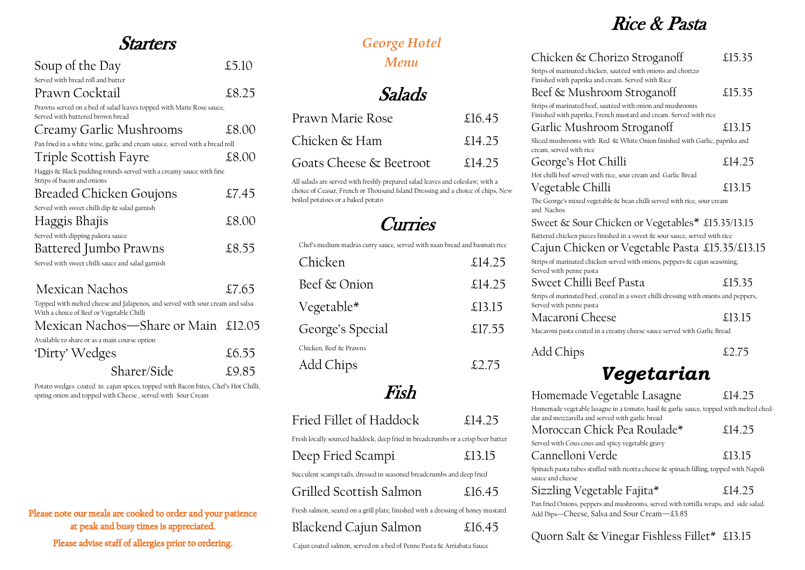### *George Hotel Menu*

## Starters

| Soup of the Day                                                                                                            | £5.10 |
|----------------------------------------------------------------------------------------------------------------------------|-------|
| Served with bread roll and butter                                                                                          |       |
| Prawn Cocktail                                                                                                             | £8.25 |
| Prawns served on a bed of salad leaves topped with Marie Rose sauce,<br>Served with buttered brown bread                   |       |
| Creamy Garlic Mushrooms                                                                                                    | £8.00 |
| Pan fried in a white wine, garlic and cream sauce, served with a bread roll                                                |       |
| Triple Scottish Fayre                                                                                                      | £8.00 |
| Haggis & Black pudding rounds served with a creamy sauce with fine<br>Strips of bacon and onions                           |       |
| <b>Breaded Chicken Goujons</b>                                                                                             | £7.45 |
| Served with sweet chilli dip & salad garnish                                                                               |       |
| Haggis Bhajis                                                                                                              | £8.00 |
| Served with dipping pakora sauce                                                                                           |       |
| Battered Jumbo Prawns                                                                                                      | £8.55 |
| Served with sweet chilli sauce and salad garnish                                                                           |       |
| Mexican Nachos                                                                                                             | £7.65 |
| Topped with melted cheese and Jalapenos, and served with sour cream and salsa<br>With a choice of Beef or Vegetable Chilli |       |
| Mexican Nachos—Share or Main £12.05                                                                                        |       |
| Available to share or as a main course option                                                                              |       |
| 'Dirty' Wedges                                                                                                             | £6.55 |
| Sharer/Side                                                                                                                | £9.85 |

Potato wedges coated in cajun spices, topped with Bacon bites, Chef's Hot Chilli, spring onion and topped with Cheese , served with Sour Cream

Please note our meals are cooked to order and your patience at peak and busy times is appreciated.

Please advise staff of allergies prior to ordering.

Finished with paprika and cream. Served with Rice  $Beef \& Mushroom Stroganoff$  £15.35

Garlic Mushroom Stroganoff  $\qquad \qquad \text{£}13.15$ 

Salads

| Prawn Marie Rose        | £16.45 |
|-------------------------|--------|
| Chicken & Ham           | £14.25 |
| Goats Cheese & Beetroot | £14.25 |

All salads are served with freshly prepared salad leaves and coleslaw, with a choice of Ceasar, French or Thousand Island Dressing and a choice of chips, New boiled potatoes or a baked potato

# **Curries**

Chef's medium madras curry sauce, served with naan bread and basmati rice

| Chicken                | £14.25    |
|------------------------|-----------|
| Beef & Onion           | £ $14.25$ |
| Vegetable*             | £13.15    |
| George's Special       | £17.55    |
| Chicken. Beef & Prawns |           |
| Add Chips              | £2.75     |

# Fish

| Fried Fillet of Haddock | £14.25 |
|-------------------------|--------|
|                         |        |

Fresh locally sourced haddock, deep fried in breadcrumbs or a crisp beer batter

| Deep Fried Scampi | £13.15 |
|-------------------|--------|
|-------------------|--------|

Spinach pasta tubes stuffed with ricotta cheese & spinach filling, topped with Napoli sauce and cheese Sizzling Vegetable Fajita\* £14.25

Succulent scampi tails, dressed in seasoned breadcrumbs and deep fried

Fresh salmon, seared on a grill plate, finished with a dressing of honey mustard

### Blackend Cajun Salmon £16.45

Cajun coated salmon, served on a bed of Penne Pasta & Arriabata Sauce

Rice & Pasta

### Chicken & Chorizo Stroganoff  $\qquad \qquad$  £15.35

Strips of marinated chicken, sautéed with onions and chorizo

Strips of marinated beef, sautéed with onion and mushrooms Finished with paprika, French mustard and cream. Served with rice

Sliced mushrooms with Red & White Onion finished with Garlic, paprika and

cream, served with rice

George's Hot Chilli  $\qquad \qquad \text{£}14.25$ Hot chilli beef served with rice, sour cream and Garlic Bread Vegetable Chilli et al. 3.15

The George's mixed vegetable & bean chilli served with rice, sour cream

and Nachos

Sweet & Sour Chicken or Vegetables\* £15.35/13.15 Battered chicken pieces finished in a sweet & sour sauce, served with rice Cajun Chicken or Vegetable Pasta £15.35/£13.15 Strips of marinated chicken served with onions, peppers & cajun seasoning, Served with penne pasta Sweet Chilli Beef Pasta £15.35

Strips of marinated beef, coated in a sweet chilli dressing with onions and peppers,

Served with penne pasta Macaroni Cheese £13.15

Add Chips  $\text{\&}2.75$ 

Macaroni pasta coated in a creamy cheese sauce served with Garlic Bread

# *Vegetarian*

Homemade vegetable lasagne in a tomato, basil & garlic sauce, topped with melted ched-

Homemade Vegetable Lasagne £14.25 dar and mozzarella and served with garlic bread Moroccan Chick Pea Roulade\* £14.25 Served with Cous cous and spicy vegetable gravy Cannelloni Verde £13.15

Pan fried Onions, peppers and mushrooms, served with tortilla wraps, and side salad. Add Dips—Cheese, Salsa and Sour Cream—£3.85

# Quorn Salt & Vinegar Fishless Fillet\* £13.15